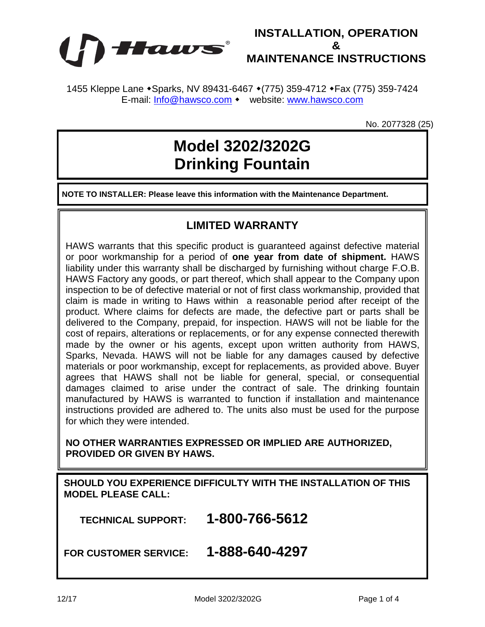



1455 Kleppe Lane • Sparks, NV 89431-6467 • (775) 359-4712 • Fax (775) 359-7424 E-mail: [Info@hawsco.com](mailto:Info@hawsco.com) • website: [www.hawsco.com](http://www.hawsco.com/)

No. 2077328 (25)

## **Model 3202/3202G Drinking Fountain**

**NOTE TO INSTALLER: Please leave this information with the Maintenance Department.**

## **LIMITED WARRANTY**

HAWS warrants that this specific product is guaranteed against defective material or poor workmanship for a period of **one year from date of shipment.** HAWS liability under this warranty shall be discharged by furnishing without charge F.O.B. HAWS Factory any goods, or part thereof, which shall appear to the Company upon inspection to be of defective material or not of first class workmanship, provided that claim is made in writing to Haws within a reasonable period after receipt of the product. Where claims for defects are made, the defective part or parts shall be delivered to the Company, prepaid, for inspection. HAWS will not be liable for the cost of repairs, alterations or replacements, or for any expense connected therewith made by the owner or his agents, except upon written authority from HAWS, Sparks, Nevada. HAWS will not be liable for any damages caused by defective materials or poor workmanship, except for replacements, as provided above. Buyer agrees that HAWS shall not be liable for general, special, or consequential damages claimed to arise under the contract of sale. The drinking fountain manufactured by HAWS is warranted to function if installation and maintenance instructions provided are adhered to. The units also must be used for the purpose for which they were intended.

**NO OTHER WARRANTIES EXPRESSED OR IMPLIED ARE AUTHORIZED, PROVIDED OR GIVEN BY HAWS.**

**SHOULD YOU EXPERIENCE DIFFICULTY WITH THE INSTALLATION OF THIS MODEL PLEASE CALL:**

 **TECHNICAL SUPPORT: 1-800-766-5612**

**FOR CUSTOMER SERVICE: 1-888-640-4297**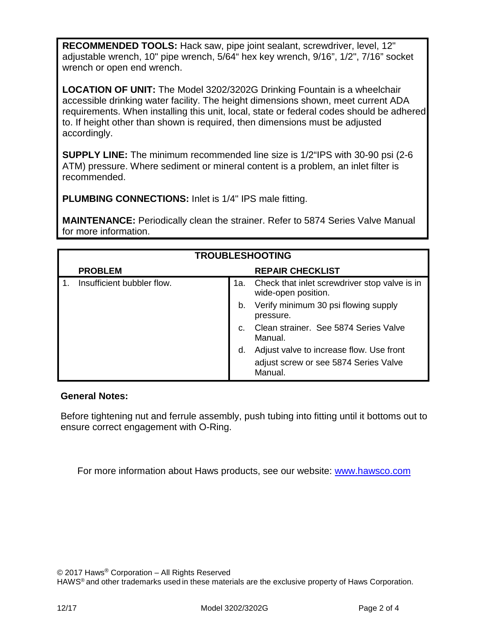**RECOMMENDED TOOLS:** Hack saw, pipe joint sealant, screwdriver, level, 12" adjustable wrench, 10" pipe wrench, 5/64" hex key wrench, 9/16", 1/2", 7/16" socket wrench or open end wrench.

**LOCATION OF UNIT:** The Model 3202/3202G Drinking Fountain is a wheelchair accessible drinking water facility. The height dimensions shown, meet current ADA requirements. When installing this unit, local, state or federal codes should be adhered to. If height other than shown is required, then dimensions must be adjusted accordingly.

**SUPPLY LINE:** The minimum recommended line size is 1/2"IPS with 30-90 psi (2-6 ATM) pressure. Where sediment or mineral content is a problem, an inlet filter is recommended.

**PLUMBING CONNECTIONS:** Inlet is 1/4" IPS male fitting.

**MAINTENANCE:** Periodically clean the strainer. Refer to 5874 Series Valve Manual for more information.

| <b>TROUBLESHOOTING</b> |                            |       |                                                                      |
|------------------------|----------------------------|-------|----------------------------------------------------------------------|
|                        | <b>PROBLEM</b>             |       | <b>REPAIR CHECKLIST</b>                                              |
|                        | Insufficient bubbler flow. | 1a. l | Check that inlet screwdriver stop valve is in<br>wide-open position. |
|                        |                            | b.    | Verify minimum 30 psi flowing supply<br>pressure.                    |
|                        |                            |       | Clean strainer. See 5874 Series Valve<br>Manual.                     |
|                        |                            | d.    | Adjust valve to increase flow. Use front                             |
|                        |                            |       | adjust screw or see 5874 Series Valve<br>Manual.                     |

## **General Notes:**

Before tightening nut and ferrule assembly, push tubing into fitting until it bottoms out to ensure correct engagement with O-Ring.

For more information about Haws products, see our website: [www.hawsco.com](http://www.hawsco.com/)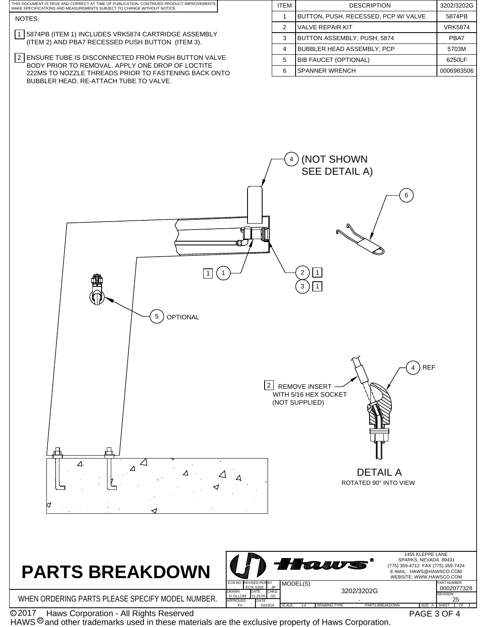

WHEN ORDERING PARTS PLEASE SPECIFY MODEL NUMBER. DRIVING TO APPROVED TO A PROVIDE THE TREATING TOP OF THE RESERVED ONLY THE RESERVED ONLY THE RESERVED ONLY THE RESERVED ONLY THE RESERVED ONLY THE RESERVED ONLY THE RESERVED

SCALE: 1:4 DRAWING TYPE: PARTS BREAKDOWN SIZE: A \_I SHEET 1 OF  $02/22/1$  Haws Corporation - All Rights Reserved HAWS  $@$  and other trademarks used in these materials are the exclusive property of Haws Corporation. C 2017 FV 02/23/18 1:4 1 1

APPROVED

GC

PAGE 3 OF 4

SIZE: A

.

PARTS BREAKDOWN

REVISION